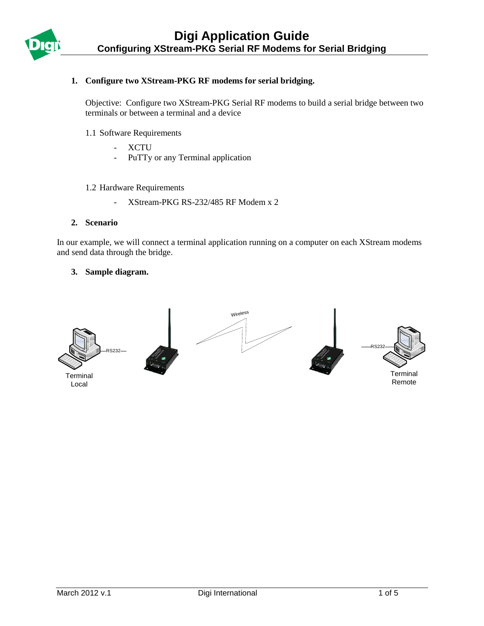

## **1. Configure two XStream-PKG RF modems for serial bridging.**

Objective: Configure two XStream-PKG Serial RF modems to build a serial bridge between two terminals or between a terminal and a device

- 1.1 Software Requirements
	- XCTU
	- PuTTy or any Terminal application
- 1.2 Hardware Requirements
	- XStream-PKG RS-232/485 RF Modem x 2

#### **2. Scenario**

In our example, we will connect a terminal application running on a computer on each XStream modems and send data through the bridge.

## **3. Sample diagram.**

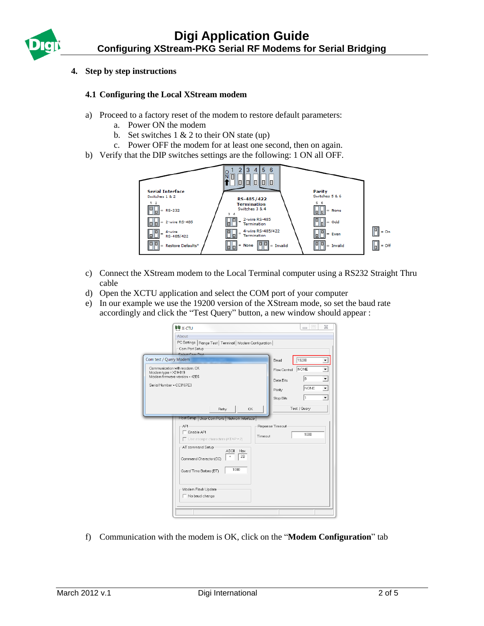# **4. Step by step instructions**

## **4.1 Configuring the Local XStream modem**

- a) Proceed to a factory reset of the modem to restore default parameters:
	- a. Power ON the modem
	- b. Set switches  $1 \& 2$  to their ON state (up)
	- c. Power OFF the modem for at least one second, then on again.
- b) Verify that the DIP switches settings are the following: 1 ON all OFF.



- c) Connect the XStream modem to the Local Terminal computer using a RS232 Straight Thru cable
- d) Open the XCTU application and select the COM port of your computer
- e) In our example we use the 19200 version of the XStream mode, so set the baud rate accordingly and click the "Test Query" button, a new window should appear :

| 雙 x-cTU                                                                                                                                                                                                                                                                                                  | ⊠<br>$\Box$<br>$\equiv$                                                                                                                                          |
|----------------------------------------------------------------------------------------------------------------------------------------------------------------------------------------------------------------------------------------------------------------------------------------------------------|------------------------------------------------------------------------------------------------------------------------------------------------------------------|
| About<br>PC Settings   Range Test   Terminal   Modem Configuration  <br>Com Port Setup                                                                                                                                                                                                                   |                                                                                                                                                                  |
| Com test / Query Modem                                                                                                                                                                                                                                                                                   | 19200<br>Baud                                                                                                                                                    |
| Communication with modemOK<br>Modem type = X24-019<br>Modem firmware version = 42B5<br>Serial Number = CC3167E3                                                                                                                                                                                          | NONE<br>Flow Control<br>▼<br>$\overline{\phantom{a}}$<br>8<br>Data Bits<br>$\overline{\phantom{0}}$<br>NONE<br>Parity<br>$\blacktriangledown$<br>11<br>Stop Bits |
| OK<br>Retry                                                                                                                                                                                                                                                                                              | Test / Query                                                                                                                                                     |
| Host Setup   User Com Ports   Network Interface<br>API<br>Reponse Timeout<br>Enable API<br>Timeout<br>$\Box$ Use escape characters (ATAP = 2)<br>-AT command Setup<br><b>ASCII</b><br>Hex<br>2B<br>٠<br>Command Character (CC)<br>1000<br>Guard Time Before (BT)<br>Modem Flash Update<br>No baud change | 1000                                                                                                                                                             |

f) Communication with the modem is OK, click on the "**Modem Configuration**" tab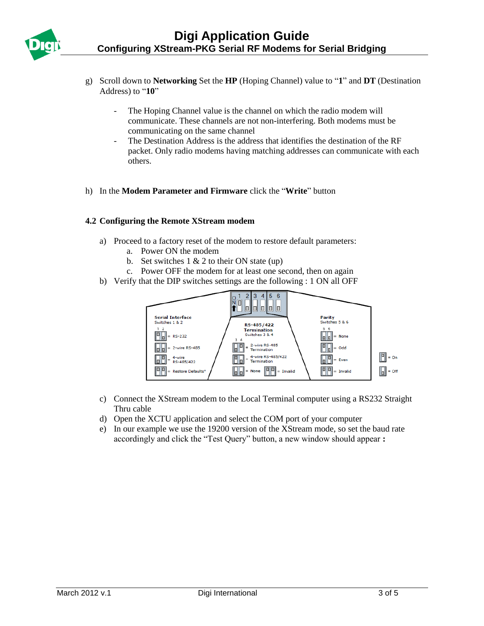

- g) Scroll down to **Networking** Set the **HP** (Hoping Channel) value to "**1**" and **DT** (Destination Address) to "**10**"
	- The Hoping Channel value is the channel on which the radio modem will communicate. These channels are not non-interfering. Both modems must be communicating on the same channel
	- The Destination Address is the address that identifies the destination of the RF packet. Only radio modems having matching addresses can communicate with each others.
- h) In the **Modem Parameter and Firmware** click the "**Write**" button

## **4.2 Configuring the Remote XStream modem**

- a) Proceed to a factory reset of the modem to restore default parameters:
	- a. Power ON the modem
	- b. Set switches  $1 \& 2$  to their ON state (up)
	- c. Power OFF the modem for at least one second, then on again
- b) Verify that the DIP switches settings are the following : 1 ON all OFF



- c) Connect the XStream modem to the Local Terminal computer using a RS232 Straight Thru cable
- d) Open the XCTU application and select the COM port of your computer
- e) In our example we use the 19200 version of the XStream mode, so set the baud rate accordingly and click the "Test Query" button, a new window should appear **:**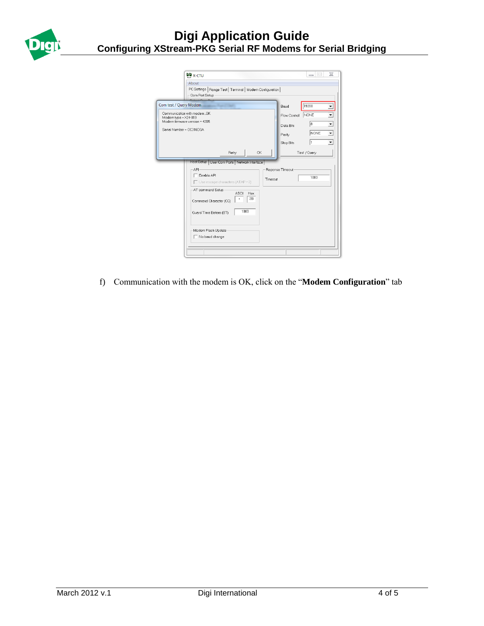

|                                                  | <b>电</b> x-cTU                                                                                                                                                                                                                                                                                           | $\boxtimes$<br>$\Box$<br>$\equiv$                                                     |
|--------------------------------------------------|----------------------------------------------------------------------------------------------------------------------------------------------------------------------------------------------------------------------------------------------------------------------------------------------------------|---------------------------------------------------------------------------------------|
|                                                  | About<br>PC Settings   Range Test   Terminal   Modem Configuration  <br>Com Port Setup                                                                                                                                                                                                                   |                                                                                       |
|                                                  | Com test / Query Modem<br>Baud                                                                                                                                                                                                                                                                           | 19200                                                                                 |
| Modem type = X24-019<br>Serial Number = CC316D0A | Communication with modemOK<br>Flow Control<br>Modem firmware version = 42B5<br>Data Bits<br>Parity<br>Stop Bits                                                                                                                                                                                          | NONE<br>8<br>$\overline{\phantom{0}}$<br>$\overline{\phantom{a}}$<br><b>NONE</b><br>1 |
|                                                  | <b>OK</b><br>Retry                                                                                                                                                                                                                                                                                       | Test / Query                                                                          |
|                                                  | Host Setup   User Com Ports   Network Interface<br><b>API</b><br>Reponse Timeout<br>Fnable API<br>Timeout<br>$\Box$ Use escape characters (ATAP = 2)<br>-AT command Setup<br>ASCII<br>Hex<br>2B<br>÷<br>Command Character (CC)<br>1000<br>Guard Time Before (BT)<br>Modem Flash Update<br>No baud change | 1000                                                                                  |

f) Communication with the modem is OK, click on the "**Modem Configuration**" tab